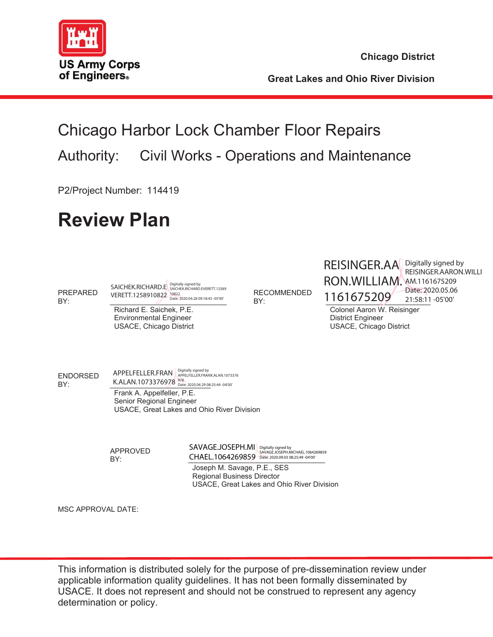

**Chicago District**

**Great Lakes and Ohio River Division** 

# Chicago Harbor Lock Chamber Floor Repairs Authority: Civil Works - Operations and Maintenance

P2/Project Number: 114419

# **Review Plan**

PREPARED BY: \_\_\_\_\_\_\_\_\_\_\_\_\_\_\_\_\_\_\_\_\_\_\_\_\_\_\_\_\_ VERETT.1258910822 10822 Date: 2020.04.28 09:18:43 -05'00' SAICHEK.RICHARD.E Digitally signed by<br>SAICHEK.RICHARD.E SAICHEK.RICHARD.EVERETT.12589

 Richard E. Saichek, P.E. Environmental Engineer USACE, Chicago District RECOMMENDED

RECOMMENDED 1161675209 Bate: 20. REISINGER.AA Digitally signed by RON.WILLIAM. AM.1161675209

REISINGER.AARON.WILLI Date: 2020.05.06 21:58:11 -05'00'

 Colonel Aaron W. Reisinger District Engineer USACE, Chicago District

ENDORSED

<u>BY:</u> EXECTED K.ALAN.1073376978<sup>978</sup> Date: 2020.04.29 08:25:44 -04'00 Frank A. Appelfeller, P.E. Senior Regional Engineer USACE, Great Lakes and Ohio River Division APPELFELLER.FRAN Rigitally signed by APPELFELLER.FRANK.ALAN.1073376

APPROVED

BY:  $CHAEL.1064269859$ SAVAGE.JOSEPH.MI Digitally signed by<br>SAVAGE.JOSEPH.MI SAVAGE.JOSEPH.MICHAEL.1064269859

 Joseph M. Savage, P.E., SES Regional Business Director USACE, Great Lakes and Ohio River Division

MSC APPROVAL DATE:

This information is distributed solely for the purpose of pre-dissemination review under applicable information quality guidelines. It has not been formally disseminated by USACE. It does not represent and should not be construed to represent any agency determination or policy.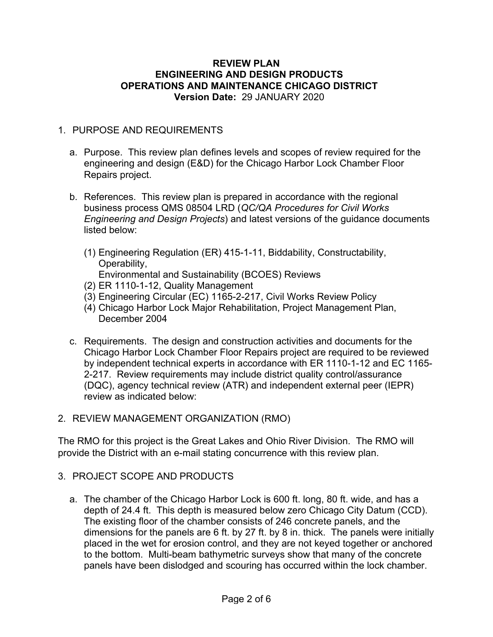#### **REVIEW PLAN ENGINEERING AND DESIGN PRODUCTS OPERATIONS AND MAINTENANCE CHICAGO DISTRICT Version Date:** 29 JANUARY 2020

#### 1. PURPOSE AND REQUIREMENTS

- a. Purpose. This review plan defines levels and scopes of review required for the engineering and design (E&D) for the Chicago Harbor Lock Chamber Floor Repairs project.
- b. References. This review plan is prepared in accordance with the regional business process QMS 08504 LRD (*QC/QA Procedures for Civil Works Engineering and Design Projects*) and latest versions of the guidance documents listed below:
	- (1) Engineering Regulation (ER) 415-1-11, Biddability, Constructability, Operability, Environmental and Sustainability (BCOES) Reviews
	- (2) ER 1110-1-12, Quality Management
	- (3) Engineering Circular (EC) 1165-2-217, Civil Works Review Policy
	- (4) Chicago Harbor Lock Major Rehabilitation, Project Management Plan, December 2004
- c. Requirements. The design and construction activities and documents for the Chicago Harbor Lock Chamber Floor Repairs project are required to be reviewed by independent technical experts in accordance with ER 1110-1-12 and EC 1165- 2-217. Review requirements may include district quality control/assurance (DQC), agency technical review (ATR) and independent external peer (IEPR) review as indicated below:
- 2. REVIEW MANAGEMENT ORGANIZATION (RMO)

The RMO for this project is the Great Lakes and Ohio River Division. The RMO will provide the District with an e-mail stating concurrence with this review plan.

- 3. PROJECT SCOPE AND PRODUCTS
	- a. The chamber of the Chicago Harbor Lock is 600 ft. long, 80 ft. wide, and has a depth of 24.4 ft. This depth is measured below zero Chicago City Datum (CCD). The existing floor of the chamber consists of 246 concrete panels, and the dimensions for the panels are 6 ft. by 27 ft. by 8 in. thick. The panels were initially placed in the wet for erosion control, and they are not keyed together or anchored to the bottom. Multi-beam bathymetric surveys show that many of the concrete panels have been dislodged and scouring has occurred within the lock chamber.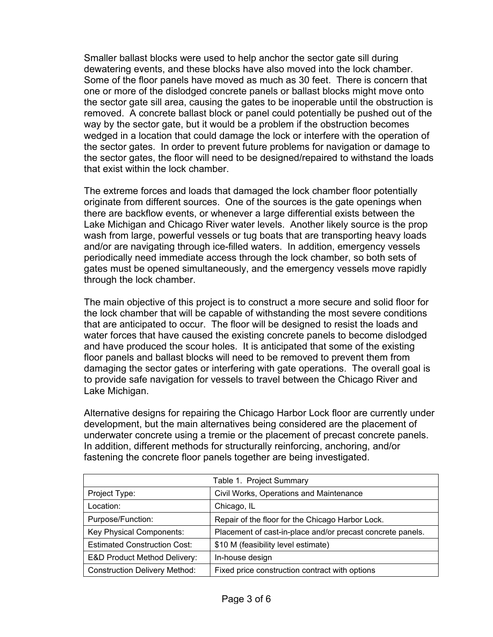Smaller ballast blocks were used to help anchor the sector gate sill during dewatering events, and these blocks have also moved into the lock chamber. Some of the floor panels have moved as much as 30 feet. There is concern that one or more of the dislodged concrete panels or ballast blocks might move onto the sector gate sill area, causing the gates to be inoperable until the obstruction is removed. A concrete ballast block or panel could potentially be pushed out of the way by the sector gate, but it would be a problem if the obstruction becomes wedged in a location that could damage the lock or interfere with the operation of the sector gates. In order to prevent future problems for navigation or damage to the sector gates, the floor will need to be designed/repaired to withstand the loads that exist within the lock chamber.

The extreme forces and loads that damaged the lock chamber floor potentially originate from different sources. One of the sources is the gate openings when there are backflow events, or whenever a large differential exists between the Lake Michigan and Chicago River water levels. Another likely source is the prop wash from large, powerful vessels or tug boats that are transporting heavy loads and/or are navigating through ice-filled waters. In addition, emergency vessels periodically need immediate access through the lock chamber, so both sets of gates must be opened simultaneously, and the emergency vessels move rapidly through the lock chamber.

The main objective of this project is to construct a more secure and solid floor for the lock chamber that will be capable of withstanding the most severe conditions that are anticipated to occur. The floor will be designed to resist the loads and water forces that have caused the existing concrete panels to become dislodged and have produced the scour holes. It is anticipated that some of the existing floor panels and ballast blocks will need to be removed to prevent them from damaging the sector gates or interfering with gate operations. The overall goal is to provide safe navigation for vessels to travel between the Chicago River and Lake Michigan.

Alternative designs for repairing the Chicago Harbor Lock floor are currently under development, but the main alternatives being considered are the placement of underwater concrete using a tremie or the placement of precast concrete panels. In addition, different methods for structurally reinforcing, anchoring, and/or fastening the concrete floor panels together are being investigated.

| Table 1. Project Summary                |                                                            |  |
|-----------------------------------------|------------------------------------------------------------|--|
| Project Type:                           | Civil Works, Operations and Maintenance                    |  |
| Location:                               | Chicago, IL                                                |  |
| Purpose/Function:                       | Repair of the floor for the Chicago Harbor Lock.           |  |
| Key Physical Components:                | Placement of cast-in-place and/or precast concrete panels. |  |
| <b>Estimated Construction Cost:</b>     | \$10 M (feasibility level estimate)                        |  |
| <b>E&amp;D Product Method Delivery:</b> | In-house design                                            |  |
| <b>Construction Delivery Method:</b>    | Fixed price construction contract with options             |  |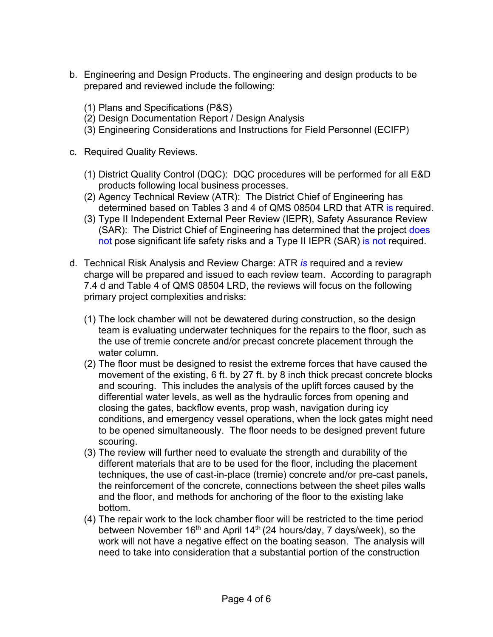- b. Engineering and Design Products. The engineering and design products to be prepared and reviewed include the following:
	- (1) Plans and Specifications (P&S)
	- (2) Design Documentation Report / Design Analysis
	- (3) Engineering Considerations and Instructions for Field Personnel (ECIFP)
- c. Required Quality Reviews.
	- (1) District Quality Control (DQC): DQC procedures will be performed for all E&D products following local business processes.
	- (2) Agency Technical Review (ATR): The District Chief of Engineering has determined based on Tables 3 and 4 of QMS 08504 LRD that ATR is required.
	- (3) Type II Independent External Peer Review (IEPR), Safety Assurance Review (SAR): The District Chief of Engineering has determined that the project does not pose significant life safety risks and a Type II IEPR (SAR) is not required.
- d. Technical Risk Analysis and Review Charge: ATR *is* required and a review charge will be prepared and issued to each review team. According to paragraph 7.4 d and Table 4 of QMS 08504 LRD, the reviews will focus on the following primary project complexities andrisks:
	- (1) The lock chamber will not be dewatered during construction, so the design team is evaluating underwater techniques for the repairs to the floor, such as the use of tremie concrete and/or precast concrete placement through the water column.
	- (2) The floor must be designed to resist the extreme forces that have caused the movement of the existing, 6 ft. by 27 ft. by 8 inch thick precast concrete blocks and scouring. This includes the analysis of the uplift forces caused by the differential water levels, as well as the hydraulic forces from opening and closing the gates, backflow events, prop wash, navigation during icy conditions, and emergency vessel operations, when the lock gates might need to be opened simultaneously. The floor needs to be designed prevent future scouring.
	- (3) The review will further need to evaluate the strength and durability of the different materials that are to be used for the floor, including the placement techniques, the use of cast-in-place (tremie) concrete and/or pre-cast panels, the reinforcement of the concrete, connections between the sheet piles walls and the floor, and methods for anchoring of the floor to the existing lake bottom.
	- (4) The repair work to the lock chamber floor will be restricted to the time period between November 16<sup>th</sup> and April 14<sup>th</sup> (24 hours/day, 7 days/week), so the work will not have a negative effect on the boating season. The analysis will need to take into consideration that a substantial portion of the construction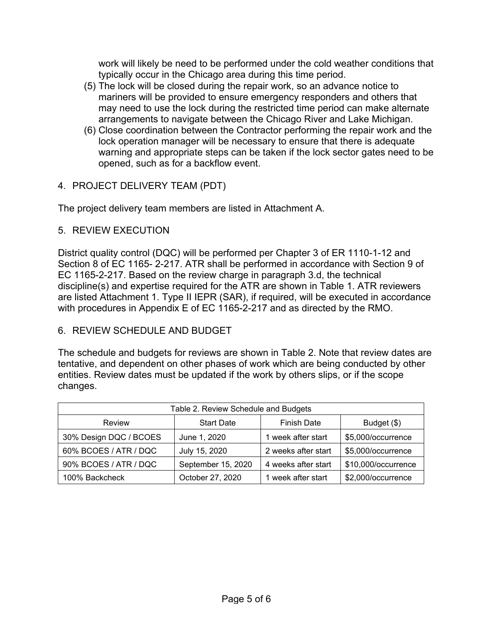work will likely be need to be performed under the cold weather conditions that typically occur in the Chicago area during this time period.

- (5) The lock will be closed during the repair work, so an advance notice to mariners will be provided to ensure emergency responders and others that may need to use the lock during the restricted time period can make alternate arrangements to navigate between the Chicago River and Lake Michigan.
- (6) Close coordination between the Contractor performing the repair work and the lock operation manager will be necessary to ensure that there is adequate warning and appropriate steps can be taken if the lock sector gates need to be opened, such as for a backflow event.

#### 4. PROJECT DELIVERY TEAM (PDT)

The project delivery team members are listed in Attachment A.

#### 5. REVIEW EXECUTION

District quality control (DQC) will be performed per Chapter 3 of ER 1110-1-12 and Section 8 of EC 1165- 2-217. ATR shall be performed in accordance with Section 9 of EC 1165-2-217. Based on the review charge in paragraph 3.d, the technical discipline(s) and expertise required for the ATR are shown in Table 1. ATR reviewers are listed Attachment 1. Type II IEPR (SAR), if required, will be executed in accordance with procedures in Appendix E of EC 1165-2-217 and as directed by the RMO.

### 6. REVIEW SCHEDULE AND BUDGET

The schedule and budgets for reviews are shown in Table 2. Note that review dates are tentative, and dependent on other phases of work which are being conducted by other entities. Review dates must be updated if the work by others slips, or if the scope changes.

| Table 2. Review Schedule and Budgets        |                   |                     |                     |  |
|---------------------------------------------|-------------------|---------------------|---------------------|--|
| Review                                      | <b>Start Date</b> | <b>Finish Date</b>  | Budget (\$)         |  |
| 30% Design DQC / BCOES                      | June 1, 2020      | 1 week after start  | \$5,000/occurrence  |  |
| 60% BCOES / ATR / DQC                       | July 15, 2020     | 2 weeks after start | \$5,000/occurrence  |  |
| 90% BCOES / ATR / DQC<br>September 15, 2020 |                   | 4 weeks after start | \$10,000/occurrence |  |
| 100% Backcheck                              | October 27, 2020  | 1 week after start  | \$2,000/occurrence  |  |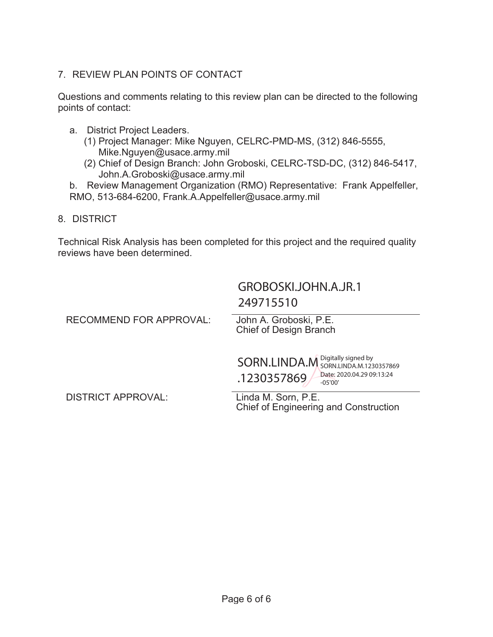## 7. REVIEW PLAN POINTS OF CONTACT

Questions and comments relating to this review plan can be directed to the following points of contact:

- a. District Project Leaders.
	- (1) Project Manager: Mike Nguyen, CELRC-PMD-MS, (312) 846-5555, Mike.Nguyen@usace.army.mil
	- (2) Chief of Design Branch: John Groboski, CELRC-TSD-DC, (312) 846-5417, John.A.Groboski@usace.army.mil

b. Review Management Organization (RMO) Representative: Frank Appelfeller, RMO, 513-684-6200, Frank.A.Appelfeller@usace.army.mil

### 8. DISTRICT

Technical Risk Analysis has been completed for this project and the required quality reviews have been determined.

> GROBOSKI.JOHN.A.JR.1 249715510

| <b>RECOMMEND FOR APPROVAL:</b> | John A. Groboski, P.E.<br><b>Chief of Design Branch</b>                                       |
|--------------------------------|-----------------------------------------------------------------------------------------------|
|                                | SORN.LINDA.M SORN.LINDA.M.1230357869<br>Date: 2020.04.29 09:13:24<br>.1230357869<br>$-05'00'$ |

DISTRICT APPROVAL: Linda M. Sorn, P.E.

Chief of Engineering and Construction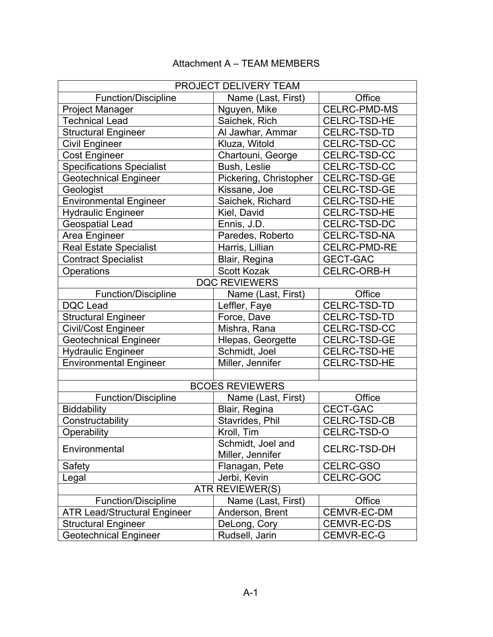# Attachment A – TEAM MEMBERS

| PROJECT DELIVERY TEAM               |                        |                     |  |  |
|-------------------------------------|------------------------|---------------------|--|--|
| <b>Function/Discipline</b>          | Name (Last, First)     | Office              |  |  |
| <b>Project Manager</b>              | Nguyen, Mike           | <b>CELRC-PMD-MS</b> |  |  |
| <b>Technical Lead</b>               | Saichek, Rich          | <b>CELRC-TSD-HE</b> |  |  |
| <b>Structural Engineer</b>          | Al Jawhar, Ammar       | CELRC-TSD-TD        |  |  |
| <b>Civil Engineer</b>               | Kluza, Witold          | CELRC-TSD-CC        |  |  |
| <b>Cost Engineer</b>                | Chartouni, George      | CELRC-TSD-CC        |  |  |
| <b>Specifications Specialist</b>    | Bush, Leslie           | CELRC-TSD-CC        |  |  |
| Geotechnical Engineer               | Pickering, Christopher | CELRC-TSD-GE        |  |  |
| Geologist                           | Kissane, Joe           | CELRC-TSD-GE        |  |  |
| <b>Environmental Engineer</b>       | Saichek, Richard       | <b>CELRC-TSD-HE</b> |  |  |
| <b>Hydraulic Engineer</b>           | Kiel, David            | <b>CELRC-TSD-HE</b> |  |  |
| <b>Geospatial Lead</b>              | Ennis, J.D.            | CELRC-TSD-DC        |  |  |
| Area Engineer                       | Paredes, Roberto       | CELRC-TSD-NA        |  |  |
| <b>Real Estate Specialist</b>       | Harris, Lillian        | <b>CELRC-PMD-RE</b> |  |  |
| <b>Contract Specialist</b>          | Blair, Regina          | <b>GECT-GAC</b>     |  |  |
| Operations                          | <b>Scott Kozak</b>     | <b>CELRC-ORB-H</b>  |  |  |
|                                     | <b>DQC REVIEWERS</b>   |                     |  |  |
| <b>Function/Discipline</b>          | Name (Last, First)     | Office              |  |  |
| <b>DQC Lead</b>                     | Leffler, Faye          | CELRC-TSD-TD        |  |  |
| <b>Structural Engineer</b>          | Force, Dave            | CELRC-TSD-TD        |  |  |
| <b>Civil/Cost Engineer</b>          | Mishra, Rana           | CELRC-TSD-CC        |  |  |
| <b>Geotechnical Engineer</b>        | Hlepas, Georgette      | CELRC-TSD-GE        |  |  |
| <b>Hydraulic Engineer</b>           | Schmidt, Joel          | <b>CELRC-TSD-HE</b> |  |  |
| <b>Environmental Engineer</b>       | Miller, Jennifer       | CELRC-TSD-HE        |  |  |
|                                     |                        |                     |  |  |
| <b>BCOES REVIEWERS</b>              |                        |                     |  |  |
| <b>Function/Discipline</b>          | Name (Last, First)     | Office              |  |  |
| <b>Biddability</b>                  | Blair, Regina          | <b>CECT-GAC</b>     |  |  |
| Constructability                    | Stavrides, Phil        | CELRC-TSD-CB        |  |  |
| Operability                         | Kroll, Tim             | CELRC-TSD-O         |  |  |
| Environmental                       | Schmidt, Joel and      |                     |  |  |
|                                     | Miller, Jennifer       | <b>CELRC-TSD-DH</b> |  |  |
| Safety                              | Flanagan, Pete         | CELRC-GSO           |  |  |
| Legal                               | Jerbi, Kevin           | CELRC-GOC           |  |  |
| <b>ATR REVIEWER(S)</b>              |                        |                     |  |  |
| <b>Function/Discipline</b>          | Name (Last, First)     | Office              |  |  |
| <b>ATR Lead/Structural Engineer</b> | Anderson, Brent        | CEMVR-EC-DM         |  |  |
| <b>Structural Engineer</b>          | DeLong, Cory           | CEMVR-EC-DS         |  |  |
| <b>Geotechnical Engineer</b>        | Rudsell, Jarin         | CEMVR-EC-G          |  |  |